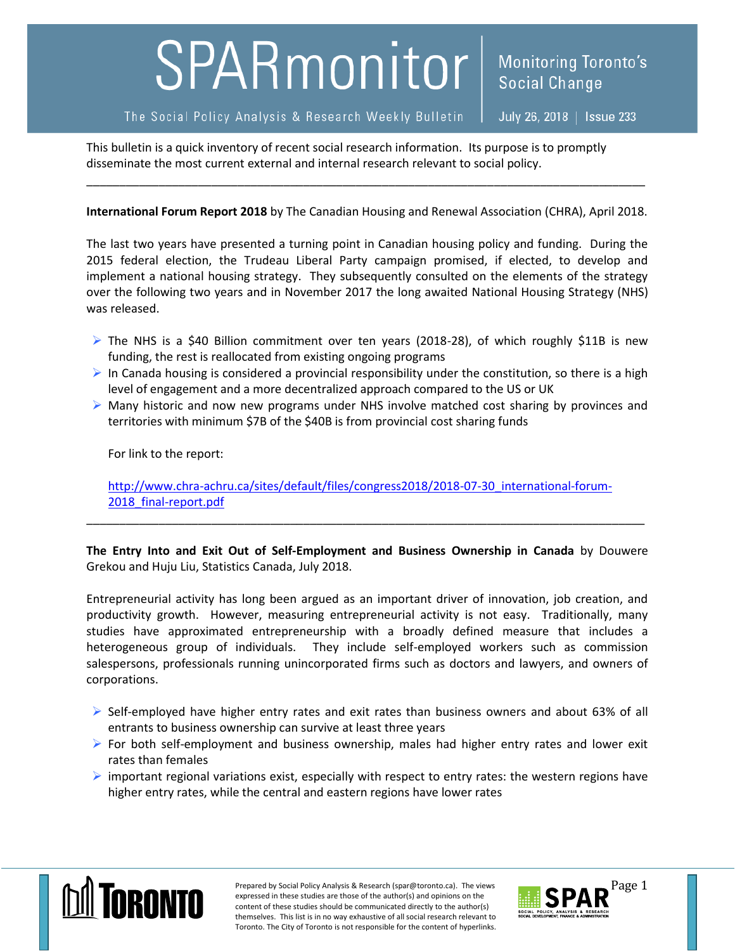## SPARmonitor

## The Social Policy Analysis & Research Weekly Bulletin

July 26, 2018 | Issue 233

**Social Change** 

**Monitoring Toronto's** 

This bulletin is a quick inventory of recent social research information. Its purpose is to promptly disseminate the most current external and internal research relevant to social policy.

## **International Forum Report 2018** by The Canadian Housing and Renewal Association (CHRA), April 2018.

\_\_\_\_\_\_\_\_\_\_\_\_\_\_\_\_\_\_\_\_\_\_\_\_\_\_\_\_\_\_\_\_\_\_\_\_\_\_\_\_\_\_\_\_\_\_\_\_\_\_\_\_\_\_\_\_\_\_\_\_\_\_\_\_\_\_\_\_\_\_\_\_\_\_\_\_\_\_\_\_\_\_\_\_\_

The last two years have presented a turning point in Canadian housing policy and funding. During the 2015 federal election, the Trudeau Liberal Party campaign promised, if elected, to develop and implement a national housing strategy. They subsequently consulted on the elements of the strategy over the following two years and in November 2017 the long awaited National Housing Strategy (NHS) was released.

- $\triangleright$  The NHS is a \$40 Billion commitment over ten years (2018-28), of which roughly \$11B is new funding, the rest is reallocated from existing ongoing programs
- In Canada housing is considered a provincial responsibility under the constitution, so there is a high level of engagement and a more decentralized approach compared to the US or UK
- $\triangleright$  Many historic and now new programs under NHS involve matched cost sharing by provinces and territories with minimum \$7B of the \$40B is from provincial cost sharing funds

For link to the report:

[http://www.chra-achru.ca/sites/default/files/congress2018/2018-07-30\\_international-forum-](http://www.chra-achru.ca/sites/default/files/congress2018/2018-07-30_international-forum-2018_final-report.pdf)2018 final-report.pdf

\_\_\_\_\_\_\_\_\_\_\_\_\_\_\_\_\_\_\_\_\_\_\_\_\_\_\_\_\_\_\_\_\_\_\_\_\_\_\_\_\_\_\_\_\_\_\_\_\_\_\_\_\_\_\_\_\_\_\_\_\_\_\_\_\_\_\_\_\_\_\_\_\_\_\_\_\_\_\_\_\_\_\_\_\_

**The Entry Into and Exit Out of Self-Employment and Business Ownership in Canada** by Douwere Grekou and Huju Liu, Statistics Canada, July 2018.

Entrepreneurial activity has long been argued as an important driver of innovation, job creation, and productivity growth. However, measuring entrepreneurial activity is not easy. Traditionally, many studies have approximated entrepreneurship with a broadly defined measure that includes a heterogeneous group of individuals. They include self-employed workers such as commission salespersons, professionals running unincorporated firms such as doctors and lawyers, and owners of corporations.

- $\triangleright$  Self-employed have higher entry rates and exit rates than business owners and about 63% of all entrants to business ownership can survive at least three years
- $\triangleright$  For both self-employment and business ownership, males had higher entry rates and lower exit rates than females
- $\triangleright$  important regional variations exist, especially with respect to entry rates: the western regions have higher entry rates, while the central and eastern regions have lower rates



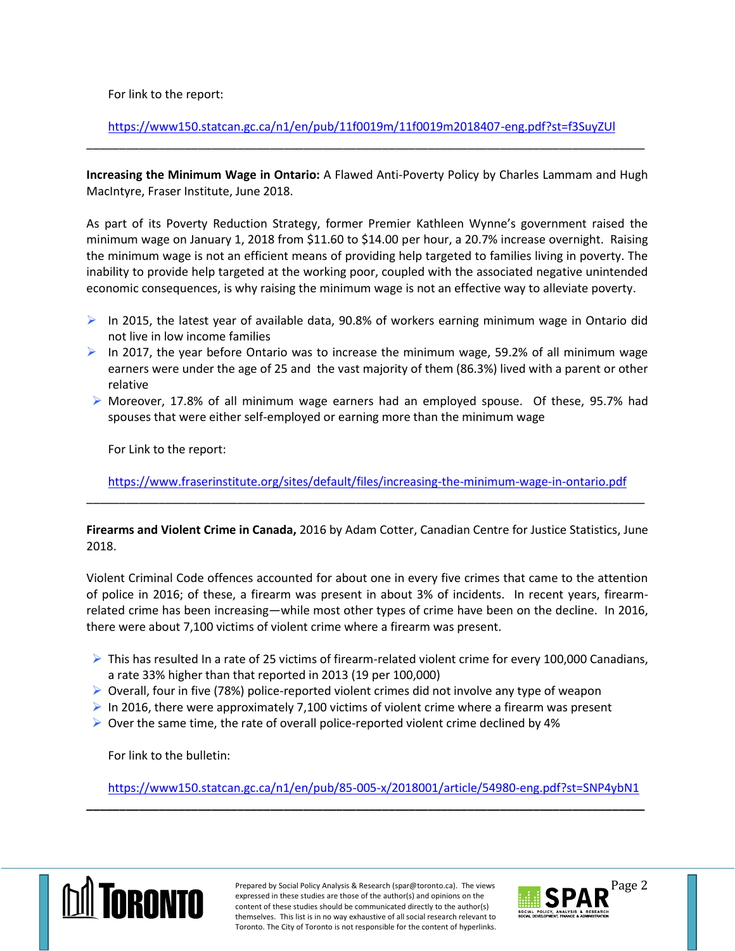For link to the report:

<https://www150.statcan.gc.ca/n1/en/pub/11f0019m/11f0019m2018407-eng.pdf?st=f3SuyZUl> \_\_\_\_\_\_\_\_\_\_\_\_\_\_\_\_\_\_\_\_\_\_\_\_\_\_\_\_\_\_\_\_\_\_\_\_\_\_\_\_\_\_\_\_\_\_\_\_\_\_\_\_\_\_\_\_\_\_\_\_\_\_\_\_\_\_\_\_\_\_\_\_\_\_\_\_\_\_\_\_\_\_\_\_\_

**Increasing the Minimum Wage in Ontario:** A Flawed Anti-Poverty Policy by Charles Lammam and Hugh MacIntyre, Fraser Institute, June 2018.

As part of its Poverty Reduction Strategy, former Premier Kathleen Wynne's government raised the minimum wage on January 1, 2018 from \$11.60 to \$14.00 per hour, a 20.7% increase overnight. Raising the minimum wage is not an efficient means of providing help targeted to families living in poverty. The inability to provide help targeted at the working poor, coupled with the associated negative unintended economic consequences, is why raising the minimum wage is not an effective way to alleviate poverty.

- $\triangleright$  In 2015, the latest year of available data, 90.8% of workers earning minimum wage in Ontario did not live in low income families
- In 2017, the year before Ontario was to increase the minimum wage, 59.2% of all minimum wage earners were under the age of 25 and the vast majority of them (86.3%) lived with a parent or other relative
- $\triangleright$  Moreover, 17.8% of all minimum wage earners had an employed spouse. Of these, 95.7% had spouses that were either self-employed or earning more than the minimum wage

For Link to the report:

<https://www.fraserinstitute.org/sites/default/files/increasing-the-minimum-wage-in-ontario.pdf> \_\_\_\_\_\_\_\_\_\_\_\_\_\_\_\_\_\_\_\_\_\_\_\_\_\_\_\_\_\_\_\_\_\_\_\_\_\_\_\_\_\_\_\_\_\_\_\_\_\_\_\_\_\_\_\_\_\_\_\_\_\_\_\_\_\_\_\_\_\_\_\_\_\_\_\_\_\_\_\_\_\_\_\_\_

**Firearms and Violent Crime in Canada,** 2016 by Adam Cotter, Canadian Centre for Justice Statistics, June 2018.

Violent Criminal Code offences accounted for about one in every five crimes that came to the attention of police in 2016; of these, a firearm was present in about 3% of incidents. In recent years, firearmrelated crime has been increasing—while most other types of crime have been on the decline. In 2016, there were about 7,100 victims of violent crime where a firearm was present.

- $\triangleright$  This has resulted In a rate of 25 victims of firearm-related violent crime for every 100,000 Canadians, a rate 33% higher than that reported in 2013 (19 per 100,000)
- $\triangleright$  Overall, four in five (78%) police-reported violent crimes did not involve any type of weapon
- In 2016, there were approximately 7,100 victims of violent crime where a firearm was present
- $\triangleright$  Over the same time, the rate of overall police-reported violent crime declined by 4%

For link to the bulletin:

<https://www150.statcan.gc.ca/n1/en/pub/85-005-x/2018001/article/54980-eng.pdf?st=SNP4ybN1>

**\_\_\_\_\_\_\_\_\_\_\_\_\_\_\_\_\_\_\_\_\_\_\_\_\_\_\_\_\_\_\_\_\_\_\_\_\_\_\_\_\_\_\_\_\_\_\_\_\_\_\_\_\_\_\_\_\_\_\_\_\_\_\_\_\_\_\_\_\_\_\_\_\_\_\_\_\_\_\_\_\_\_\_\_\_**